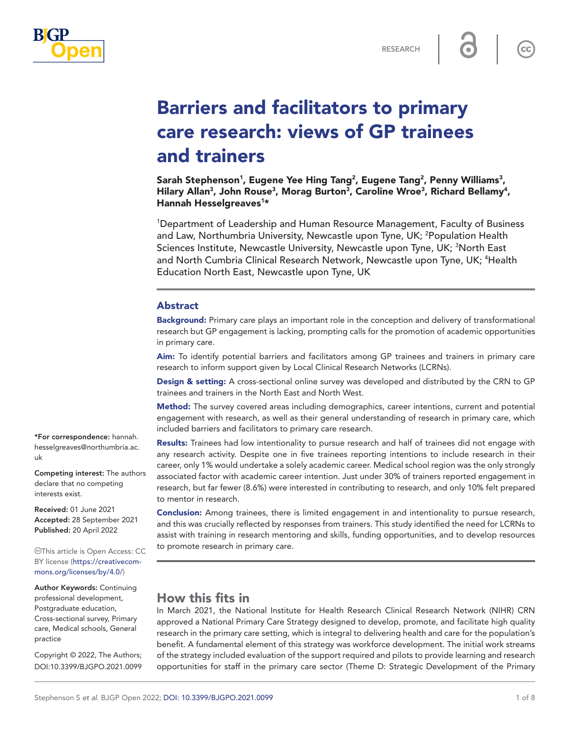

 $cc$ 

# Barriers and facilitators to primary care research: views of GP trainees and trainers

Sarah Stephenson<sup>1</sup>, Eugene Yee Hing Tang<sup>2</sup>, Eugene Tang<sup>2</sup>, Penny Williams<sup>3</sup>, Hilary Allan<sup>3</sup>, John Rouse<sup>3</sup>, Morag Burton<sup>3</sup>, Caroline Wroe<sup>3</sup>, Richard Bellamy<sup>4</sup>, Hannah Hesselgreaves<sup>1\*</sup>

1 Department of Leadership and Human Resource Management, Faculty of Business and Law, Northumbria University, Newcastle upon Tyne, UK; <sup>2</sup>Population Health Sciences Institute, Newcastle University, Newcastle upon Tyne, UK; <sup>3</sup>North East and North Cumbria Clinical Research Network, Newcastle upon Tyne, UK; <sup>4</sup>Health Education North East, Newcastle upon Tyne, UK

#### Abstract

Background: Primary care plays an important role in the conception and delivery of transformational research but GP engagement is lacking, prompting calls for the promotion of academic opportunities in primary care.

Aim: To identify potential barriers and facilitators among GP trainees and trainers in primary care research to inform support given by Local Clinical Research Networks (LCRNs).

Design & setting: A cross-sectional online survey was developed and distributed by the CRN to GP trainees and trainers in the North East and North West.

Method: The survey covered areas including demographics, career intentions, current and potential engagement with research, as well as their general understanding of research in primary care, which included barriers and facilitators to primary care research.

Results: Trainees had low intentionality to pursue research and half of trainees did not engage with any research activity. Despite one in five trainees reporting intentions to include research in their career, only 1% would undertake a solely academic career. Medical school region was the only strongly associated factor with academic career intention. Just under 30% of trainers reported engagement in research, but far fewer (8.6%) were interested in contributing to research, and only 10% felt prepared to mentor in research.

**Conclusion:** Among trainees, there is limited engagement in and intentionality to pursue research, and this was crucially reflected by responses from trainers. This study identified the need for LCRNs to assist with training in research mentoring and skills, funding opportunities, and to develop resources to promote research in primary care.

# How this fits in

In March 2021, the National Institute for Health Research Clinical Research Network (NIHR) CRN approved a National Primary Care Strategy designed to develop, promote, and facilitate high quality research in the primary care setting, which is integral to delivering health and care for the population's benefit. A fundamental element of this strategy was workforce development. The initial work streams of the strategy included evaluation of the support required and pilots to provide learning and research opportunities for staff in the primary care sector (Theme D: Strategic Development of the Primary

\*For correspondence: [hannah.](mailto:hannah.hesselgreaves@northumbria.ac.uk) [hesselgreaves@northumbria.ac.](mailto:hannah.hesselgreaves@northumbria.ac.uk) [uk](mailto:hannah.hesselgreaves@northumbria.ac.uk)

Competing interest: The authors declare that no competing interests exist.

Received: 01 June 2021 Accepted: 28 September 2021 Published: 20 April 2022

This article is Open Access: CC BY license [\(https://creativecom](https://creativecommons.org/licenses/by/4.0/)[mons.org/licenses/by/4.0/\)](https://creativecommons.org/licenses/by/4.0/)

Author Keywords: Continuing professional development, Postgraduate education, Cross-sectional survey, Primary care, Medical schools, General practice

Copyright © 2022, The Authors; DOI:10.3399/BJGPO.2021.0099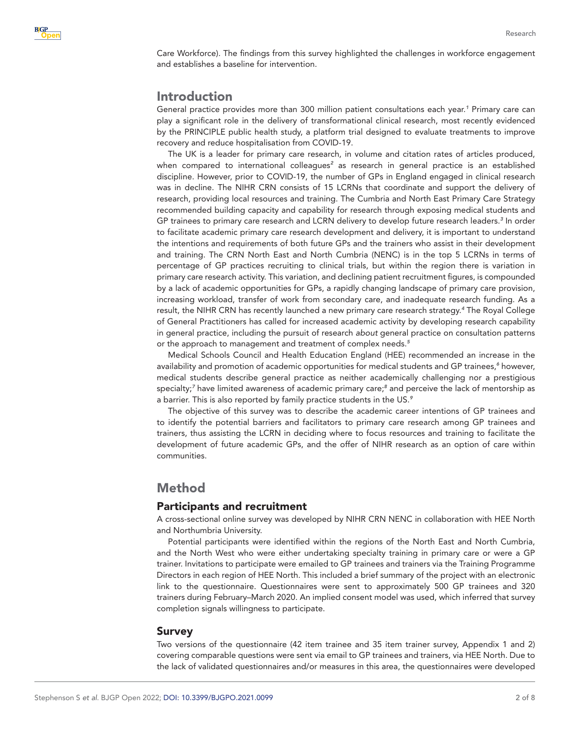Care Workforce). The findings from this survey highlighted the challenges in workforce engagement and establishes a baseline for intervention.

# Introduction

General practice provides more than 300 million patient consultations each year.*[1](#page-7-0)* Primary care can play a significant role in the delivery of transformational clinical research, most recently evidenced by the PRINCIPLE public health study, a platform trial designed to evaluate treatments to improve recovery and reduce hospitalisation from COVID-19.

The UK is a leader for primary care research, in volume and citation rates of articles produced, when compared to international colleagues<sup>[2](#page-7-1)</sup> as research in general practice is an established discipline. However, prior to COVID-19, the number of GPs in England engaged in clinical research was in decline. The NIHR CRN consists of 15 LCRNs that coordinate and support the delivery of research, providing local resources and training. The Cumbria and North East Primary Care Strategy recommended building capacity and capability for research through exposing medical students and GP trainees to primary care research and LCRN delivery to develop future research leaders.*[3](#page-7-2)* In order to facilitate academic primary care research development and delivery, it is important to understand the intentions and requirements of both future GPs and the trainers who assist in their development and training. The CRN North East and North Cumbria (NENC) is in the top 5 LCRNs in terms of percentage of GP practices recruiting to clinical trials, but within the region there is variation in primary care research activity. This variation, and declining patient recruitment figures, is compounded by a lack of academic opportunities for GPs, a rapidly changing landscape of primary care provision, increasing workload, transfer of work from secondary care, and inadequate research funding. As a result, the NIHR CRN has recently launched a new primary care research strategy.*[4](#page-7-3)* The Royal College of General Practitioners has called for increased academic activity by developing research capability in general practice, including the pursuit of research *about* general practice on consultation patterns or the approach to management and treatment of complex needs.*[5](#page-7-4)*

Medical Schools Council and Health Education England (HEE) recommended an increase in the availability and promotion of academic opportunities for medical students and GP trainees,*[6](#page-7-5)* however, medical students describe general practice as neither academically challenging nor a prestigious specialty;*[7](#page-7-6)* have limited awareness of academic primary care;*[8](#page-7-7)* and perceive the lack of mentorship as a barrier. This is also reported by family practice students in the US.*[9](#page-7-8)*

The objective of this survey was to describe the academic career intentions of GP trainees and to identify the potential barriers and facilitators to primary care research among GP trainees and trainers, thus assisting the LCRN in deciding where to focus resources and training to facilitate the development of future academic GPs, and the offer of NIHR research as an option of care within communities.

## Method

#### Participants and recruitment

A cross-sectional online survey was developed by NIHR CRN NENC in collaboration with HEE North and Northumbria University.

Potential participants were identified within the regions of the North East and North Cumbria, and the North West who were either undertaking specialty training in primary care or were a GP trainer. Invitations to participate were emailed to GP trainees and trainers via the Training Programme Directors in each region of HEE North. This included a brief summary of the project with an electronic link to the questionnaire. Questionnaires were sent to approximately 500 GP trainees and 320 trainers during February–March 2020. An implied consent model was used, which inferred that survey completion signals willingness to participate.

#### Survey

Two versions of the questionnaire (42 item trainee and 35 item trainer survey, Appendix 1 and 2) covering comparable questions were sent via email to GP trainees and trainers, via HEE North. Due to the lack of validated questionnaires and/or measures in this area, the questionnaires were developed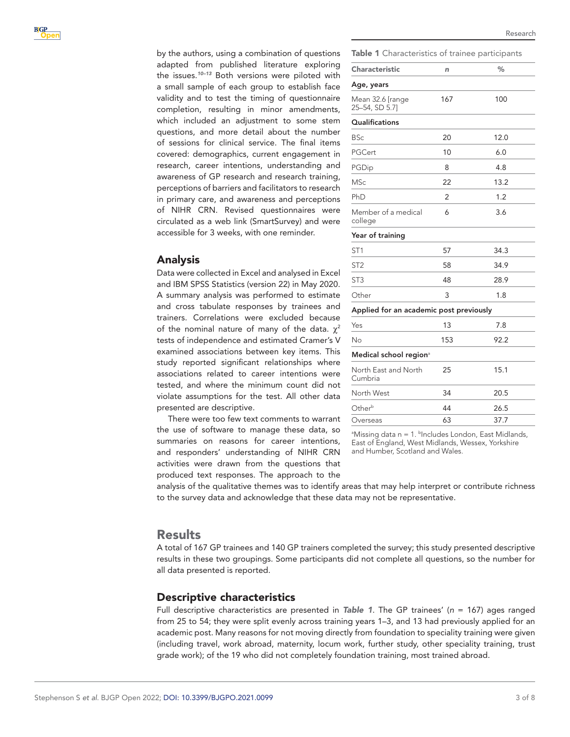by the authors, using a combination of questions adapted from published literature exploring the issues.*[10–13](#page-7-9)* Both versions were piloted with a small sample of each group to establish face validity and to test the timing of questionnaire completion, resulting in minor amendments, which included an adjustment to some stem questions, and more detail about the number of sessions for clinical service. The final items covered: demographics, current engagement in research, career intentions, understanding and awareness of GP research and research training, perceptions of barriers and facilitators to research in primary care, and awareness and perceptions of NIHR CRN. Revised questionnaires were circulated as a web link (SmartSurvey) and were accessible for 3 weeks, with one reminder.

#### Analysis

Data were collected in Excel and analysed in Excel and IBM SPSS Statistics (version 22) in May 2020. A summary analysis was performed to estimate and cross tabulate responses by trainees and trainers. Correlations were excluded because of the nominal nature of many of the data.  $\gamma^2$ tests of independence and estimated Cramer's V examined associations between key items. This study reported significant relationships where associations related to career intentions were tested, and where the minimum count did not violate assumptions for the test. All other data presented are descriptive.

There were too few text comments to warrant the use of software to manage these data, so summaries on reasons for career intentions, and responders' understanding of NIHR CRN activities were drawn from the questions that produced text responses. The approach to the <span id="page-2-0"></span>Table 1 Characteristics of trainee participants

Research

| <b>Characteristic</b>                   | n   | $\%$ |
|-----------------------------------------|-----|------|
| Age, years                              |     |      |
| Mean 32.6 [range<br>25-54, SD 5.7]      | 167 | 100  |
| Qualifications                          |     |      |
| <b>BSc</b>                              | 20  | 12.0 |
| PGCert                                  | 10  | 6.0  |
| PGDip                                   | 8   | 4.8  |
| <b>MSc</b>                              | 22  | 13.2 |
| PhD                                     | 2   | 1.2  |
| Member of a medical<br>college          | 6   | 3.6  |
| Year of training                        |     |      |
| ST <sub>1</sub>                         | 57  | 34.3 |
| ST <sub>2</sub>                         | 58  | 34.9 |
| ST <sub>3</sub>                         | 48  | 28.9 |
| Other                                   | 3   | 1.8  |
| Applied for an academic post previously |     |      |
| Yes                                     | 13  | 7.8  |
| No                                      | 153 | 92.2 |
| Medical school region <sup>a</sup>      |     |      |
| North East and North<br>Cumbria         | 25  | 15.1 |
| North West                              | 34  | 20.5 |
| Other <sup>b</sup>                      | 44  | 26.5 |
| Overseas                                | 63  | 37.7 |
|                                         |     |      |

<sup>a</sup>Missing data n = 1. <sup>b</sup>Includes London, East Midlands, East of England, West Midlands, Wessex, Yorkshire and Humber, Scotland and Wales.

analysis of the qualitative themes was to identify areas that may help interpret or contribute richness to the survey data and acknowledge that these data may not be representative.

## Results

A total of 167 GP trainees and 140 GP trainers completed the survey; this study presented descriptive results in these two groupings. Some participants did not complete all questions, so the number for all data presented is reported.

## Descriptive characteristics

Full descriptive characteristics are presented in *[Table 1](#page-2-0)*. The GP trainees' (*n* = 167) ages ranged from 25 to 54; they were split evenly across training years 1–3, and 13 had previously applied for an academic post. Many reasons for not moving directly from foundation to speciality training were given (including travel, work abroad, maternity, locum work, further study, other speciality training, trust grade work); of the 19 who did not completely foundation training, most trained abroad.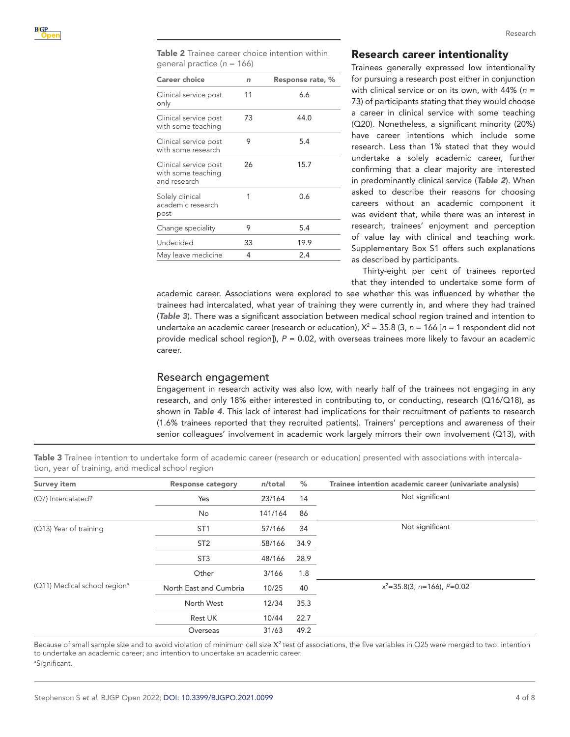<span id="page-3-0"></span>Table 2 Trainee career choice intention within general practice (*n* = 166)

| <b>Career choice</b>                                        | n  | Response rate, % |
|-------------------------------------------------------------|----|------------------|
| Clinical service post<br>only                               | 11 | 6.6              |
| Clinical service post<br>with some teaching                 | 73 | 44.0             |
| Clinical service post<br>with some research                 | 9  | 5.4              |
| Clinical service post<br>with some teaching<br>and research | 26 | 15.7             |
| Solely clinical<br>academic research<br>post                | 1  | 0.6              |
| Change speciality                                           | 9  | 5.4              |
| Undecided                                                   | 33 | 19.9             |
| May leave medicine                                          | 4  | 2.4              |

#### Research career intentionality

Trainees generally expressed low intentionality for pursuing a research post either in conjunction with clinical service or on its own, with 44% (*n* = 73) of participants stating that they would choose a career in clinical service with some teaching (Q20). Nonetheless, a significant minority (20%) have career intentions which include some research. Less than 1% stated that they would undertake a solely academic career, further confirming that a clear majority are interested in predominantly clinical service (*[Table 2](#page-3-0)*). When asked to describe their reasons for choosing careers without an academic component it was evident that, while there was an interest in research, trainees' enjoyment and perception of value lay with clinical and teaching work. Supplementary Box S1 offers such explanations as described by participants.

Thirty-eight per cent of trainees reported that they intended to undertake some form of

academic career. Associations were explored to see whether this was influenced by whether the trainees had intercalated, what year of training they were currently in, and where they had trained (*[Table 3](#page-3-1)*). There was a significant association between medical school region trained and intention to undertake an academic career (research or education),  $X^2 = 35.8$  (3,  $n = 166$  [ $n = 1$  respondent did not provide medical school region]), *P* = 0.02, with overseas trainees more likely to favour an academic career.

#### Research engagement

Engagement in research activity was also low, with nearly half of the trainees not engaging in any research, and only 18% either interested in contributing to, or conducting, research (Q16/Q18), as shown in *[Table 4](#page-4-0)*. This lack of interest had implications for their recruitment of patients to research (1.6% trainees reported that they recruited patients). Trainers' perceptions and awareness of their senior colleagues' involvement in academic work largely mirrors their own involvement (Q13), with

| <b>Survey item</b>                       | <b>Response category</b> | n/total | %    | Trainee intention academic career (univariate analysis) |
|------------------------------------------|--------------------------|---------|------|---------------------------------------------------------|
| (Q7) Intercalated?                       | Yes                      | 23/164  | 14   | Not significant                                         |
|                                          | No                       | 141/164 | 86   |                                                         |
| (Q13) Year of training                   | ST <sub>1</sub>          | 57/166  | 34   | Not significant                                         |
|                                          | ST <sub>2</sub>          | 58/166  | 34.9 |                                                         |
|                                          | ST <sub>3</sub>          | 48/166  | 28.9 |                                                         |
|                                          | Other                    | 3/166   | 1.8  |                                                         |
| (Q11) Medical school region <sup>a</sup> | North East and Cumbria   | 10/25   | 40   | $x^2$ =35.8(3, n=166), P=0.02                           |
|                                          | North West               | 12/34   | 35.3 |                                                         |
|                                          | Rest UK                  | 10/44   | 22.7 |                                                         |
|                                          | Overseas                 | 31/63   | 49.2 |                                                         |

<span id="page-3-1"></span>Table 3 Trainee intention to undertake form of academic career (research or education) presented with associations with intercalation, year of training, and medical school region

Because of small sample size and to avoid violation of minimum cell size  $X^2$  test of associations, the five variables in Q25 were merged to two: intention to undertake an academic career; and intention to undertake an academic career. a Significant.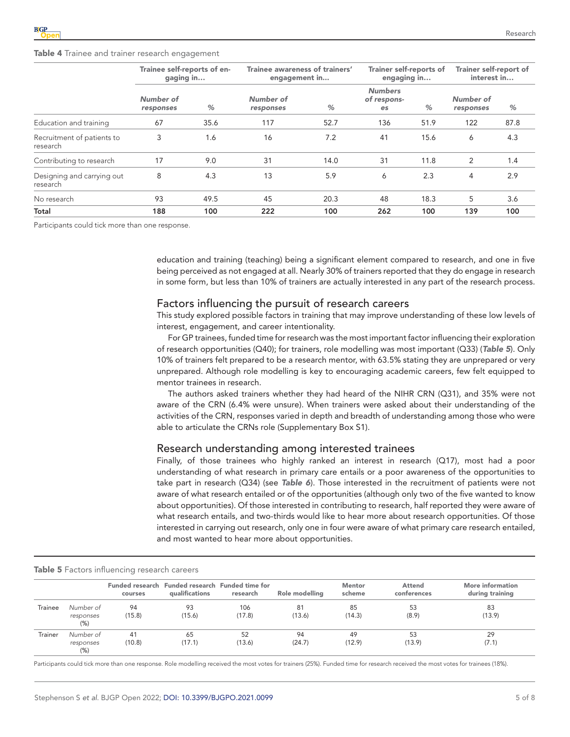<span id="page-4-0"></span>

|                                        | Trainee self-reports of en-<br>gaging in |      | Trainee awareness of trainers'<br>engagement in |      | <b>Trainer self-reports of</b><br>engaging in |      | <b>Trainer self-report of</b><br>interest in |      |
|----------------------------------------|------------------------------------------|------|-------------------------------------------------|------|-----------------------------------------------|------|----------------------------------------------|------|
|                                        | Number of<br>responses                   | %    | Number of<br>responses                          | %    | <b>Numbers</b><br>of respons-<br>es           | %    | Number of<br>responses                       | %    |
| Education and training                 | 67                                       | 35.6 | 117                                             | 52.7 | 136                                           | 51.9 | 122                                          | 87.8 |
| Recruitment of patients to<br>research | 3                                        | 1.6  | 16                                              | 7.2  | 41                                            | 15.6 | 6                                            | 4.3  |
| Contributing to research               | 17                                       | 9.0  | 31                                              | 14.0 | 31                                            | 11.8 | 2                                            | 1.4  |
| Designing and carrying out<br>research | 8                                        | 4.3  | 13                                              | 5.9  | 6                                             | 2.3  | 4                                            | 2.9  |
| No research                            | 93                                       | 49.5 | 45                                              | 20.3 | 48                                            | 18.3 | 5                                            | 3.6  |
| Total                                  | 188                                      | 100  | 222                                             | 100  | 262                                           | 100  | 139                                          | 100  |

Participants could tick more than one response.

education and training (teaching) being a significant element compared to research, and one in five being perceived as not engaged at all. Nearly 30% of trainers reported that they do engage in research in some form, but less than 10% of trainers are actually interested in any part of the research process.

#### Factors influencing the pursuit of research careers

This study explored possible factors in training that may improve understanding of these low levels of interest, engagement, and career intentionality.

For GP trainees, funded time for research was the most important factor influencing their exploration of research opportunities (Q40); for trainers, role modelling was most important (Q33) (*[Table 5](#page-4-1)*). Only 10% of trainers felt prepared to be a research mentor, with 63.5% stating they are unprepared or very unprepared. Although role modelling is key to encouraging academic careers, few felt equipped to mentor trainees in research.

The authors asked trainers whether they had heard of the NIHR CRN (Q31), and 35% were not aware of the CRN (6.4% were unsure). When trainers were asked about their understanding of the activities of the CRN, responses varied in depth and breadth of understanding among those who were able to articulate the CRNs role (Supplementary Box S1).

#### Research understanding among interested trainees

Finally, of those trainees who highly ranked an interest in research (Q17), most had a poor understanding of what research in primary care entails or a poor awareness of the opportunities to take part in research (Q34) (see *[Table 6](#page-5-0)*). Those interested in the recruitment of patients were not aware of what research entailed or of the opportunities (although only two of the five wanted to know about opportunities). Of those interested in contributing to research, half reported they were aware of what research entails, and two-thirds would like to hear more about research opportunities. Of those interested in carrying out research, only one in four were aware of what primary care research entailed, and most wanted to hear more about opportunities.

|         |                                  | courses      | Funded research Funded research Funded time for<br>qualifications | research      | Role modelling | <b>Mentor</b><br>scheme | Attend<br>conferences | More information<br>during training |
|---------|----------------------------------|--------------|-------------------------------------------------------------------|---------------|----------------|-------------------------|-----------------------|-------------------------------------|
| Trainee | Number of<br>responses<br>(% )   | 94<br>(15.8) | 93<br>(15.6)                                                      | 106<br>(17.8) | 81<br>(13.6)   | 85<br>(14.3)            | 53<br>(8.9)           | 83<br>(13.9)                        |
| Trainer | Number of<br>responses<br>$(\%)$ | 41<br>(10.8) | 65<br>(17.1)                                                      | 52<br>(13.6)  | 94<br>(24.7)   | 49<br>(12.9)            | 53<br>(13.9)          | 29<br>(7.1)                         |

#### <span id="page-4-1"></span>Table 5 Factors influencing research careers

Participants could tick more than one response. Role modelling received the most votes for trainers (25%). Funded time for research received the most votes for trainees (18%).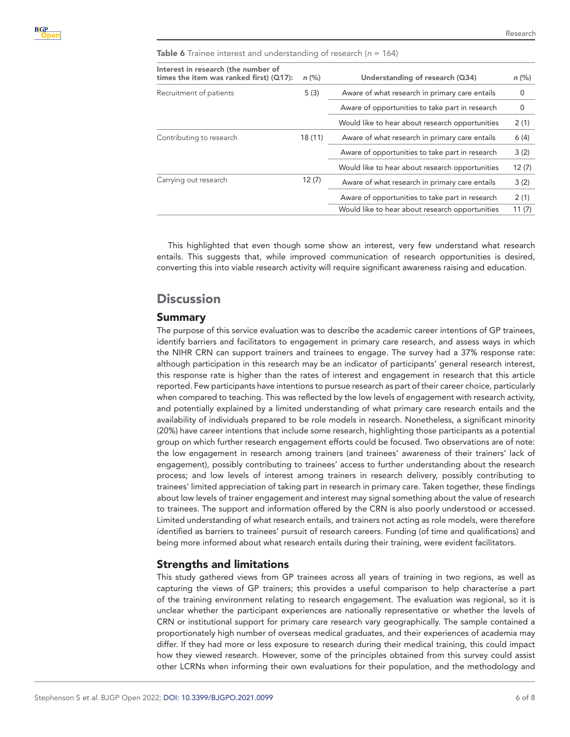<span id="page-5-0"></span>Table 6 Trainee interest and understanding of research (*n* = 164)

| Interest in research (the number of<br>times the item was ranked first) ( $Q17$ ): | $n$ (%)                                                   | Understanding of research (Q34)                 | $n$ (%) |
|------------------------------------------------------------------------------------|-----------------------------------------------------------|-------------------------------------------------|---------|
| Recruitment of patients                                                            | 5(3)                                                      | Aware of what research in primary care entails  |         |
|                                                                                    |                                                           | Aware of opportunities to take part in research | 0       |
|                                                                                    |                                                           | Would like to hear about research opportunities | 2(1)    |
| Contributing to research                                                           | Aware of what research in primary care entails<br>18 (11) |                                                 | 6(4)    |
|                                                                                    |                                                           | Aware of opportunities to take part in research | 3(2)    |
|                                                                                    |                                                           | Would like to hear about research opportunities | 12(7)   |
| 12(7)<br>Carrying out research                                                     |                                                           | Aware of what research in primary care entails  | 3(2)    |
|                                                                                    |                                                           | Aware of opportunities to take part in research | 2(1)    |
|                                                                                    |                                                           | Would like to hear about research opportunities | 11(7)   |

This highlighted that even though some show an interest, very few understand what research entails. This suggests that, while improved communication of research opportunities is desired, converting this into viable research activity will require significant awareness raising and education.

# **Discussion**

#### Summary

The purpose of this service evaluation was to describe the academic career intentions of GP trainees, identify barriers and facilitators to engagement in primary care research, and assess ways in which the NIHR CRN can support trainers and trainees to engage. The survey had a 37% response rate: although participation in this research may be an indicator of participants' general research interest, this response rate is higher than the rates of interest and engagement in research that this article reported. Few participants have intentions to pursue research as part of their career choice, particularly when compared to teaching. This was reflected by the low levels of engagement with research activity, and potentially explained by a limited understanding of what primary care research entails and the availability of individuals prepared to be role models in research. Nonetheless, a significant minority (20%) have career intentions that include some research, highlighting those participants as a potential group on which further research engagement efforts could be focused. Two observations are of note: the low engagement in research among trainers (and trainees' awareness of their trainers' lack of engagement), possibly contributing to trainees' access to further understanding about the research process; and low levels of interest among trainers in research delivery, possibly contributing to trainees' limited appreciation of taking part in research in primary care. Taken together, these findings about low levels of trainer engagement and interest may signal something about the value of research to trainees. The support and information offered by the CRN is also poorly understood or accessed. Limited understanding of what research entails, and trainers not acting as role models, were therefore identified as barriers to trainees' pursuit of research careers. Funding (of time and qualifications) and being more informed about what research entails during their training, were evident facilitators.

## Strengths and limitations

This study gathered views from GP trainees across all years of training in two regions, as well as capturing the views of GP trainers; this provides a useful comparison to help characterise a part of the training environment relating to research engagement. The evaluation was regional, so it is unclear whether the participant experiences are nationally representative or whether the levels of CRN or institutional support for primary care research vary geographically. The sample contained a proportionately high number of overseas medical graduates, and their experiences of academia may differ. If they had more or less exposure to research during their medical training, this could impact how they viewed research. However, some of the principles obtained from this survey could assist other LCRNs when informing their own evaluations for their population, and the methodology and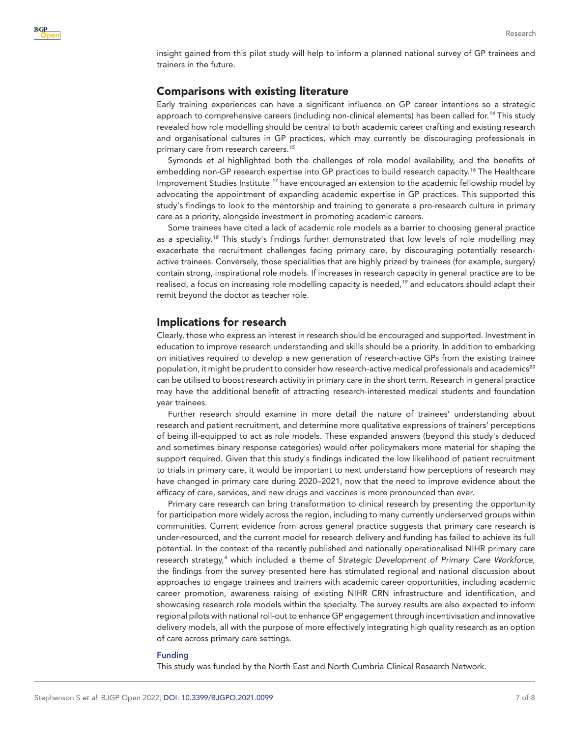insight gained from this pilot study will help to inform a planned national survey of GP trainees and trainers in the future.

## Comparisons with existing literature

Early training experiences can have a significant influence on GP career intentions so a strategic approach to comprehensive careers (including non-clinical elements) has been called for.*[14](#page-7-10)* This study revealed how role modelling should be central to both academic career crafting and existing research and organisational cultures in GP practices, which may currently be discouraging professionals in primary care from research careers.*[15](#page-7-11)*

Symonds *et al* highlighted both the challenges of role model availability, and the benefits of embedding non-GP research expertise into GP practices to build research capacity.*[16](#page-7-12)* The Healthcare Improvement Studies Institute *[17](#page-7-13)* have encouraged an extension to the academic fellowship model by advocating the appointment of expanding academic expertise in GP practices. This supported this study's findings to look to the mentorship and training to generate a pro-research culture in primary care as a priority, alongside investment in promoting academic careers.

Some trainees have cited a lack of academic role models as a barrier to choosing general practice as a speciality.*[18](#page-7-14)* This study's findings further demonstrated that low levels of role modelling may exacerbate the recruitment challenges facing primary care, by discouraging potentially researchactive trainees. Conversely, those specialities that are highly prized by trainees (for example, surgery) contain strong, inspirational role models. If increases in research capacity in general practice are to be realised, a focus on increasing role modelling capacity is needed,*[19](#page-7-15)* and educators should adapt their remit beyond the doctor as teacher role.

## Implications for research

Clearly, those who express an interest in research should be encouraged and supported. Investment in education to improve research understanding and skills should be a priority. In addition to embarking on initiatives required to develop a new generation of research-active GPs from the existing trainee population, it might be prudent to consider how research-active medical professionals and academics*[20](#page-7-16)* can be utilised to boost research activity in primary care in the short term. Research in general practice may have the additional benefit of attracting research-interested medical students and foundation year trainees.

Further research should examine in more detail the nature of trainees' understanding about research and patient recruitment, and determine more qualitative expressions of trainers' perceptions of being ill-equipped to act as role models. These expanded answers (beyond this study's deduced and sometimes binary response categories) would offer policymakers more material for shaping the support required. Given that this study's findings indicated the low likelihood of patient recruitment to trials in primary care, it would be important to next understand how perceptions of research may have changed in primary care during 2020–2021, now that the need to improve evidence about the efficacy of care, services, and new drugs and vaccines is more pronounced than ever.

Primary care research can bring transformation to clinical research by presenting the opportunity for participation more widely across the region, including to many currently underserved groups within communities. Current evidence from across general practice suggests that primary care research is under-resourced, and the current model for research delivery and funding has failed to achieve its full potential. In the context of the recently published and nationally operationalised NIHR primary care research strategy,*[4](#page-7-3)* which included a theme of *Strategic Development of Primary Care Workforce*, the findings from the survey presented here has stimulated regional and national discussion about approaches to engage trainees and trainers with academic career opportunities, including academic career promotion, awareness raising of existing NIHR CRN infrastructure and identification, and showcasing research role models within the specialty. The survey results are also expected to inform regional pilots with national roll-out to enhance GP engagement through incentivisation and innovative delivery models, all with the purpose of more effectively integrating high quality research as an option of care across primary care settings.

#### Funding

This study was funded by the North East and North Cumbria Clinical Research Network.